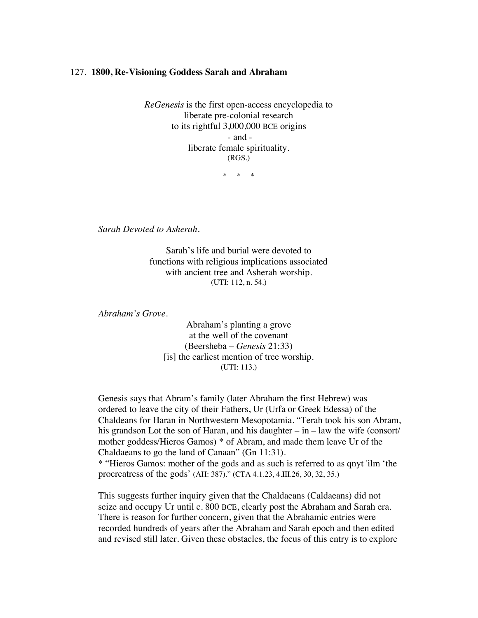## 127. **1800, Re-Visioning Goddess Sarah and Abraham**

*ReGenesis* is the first open-access encyclopedia to liberate pre-colonial research to its rightful 3,000,000 BCE origins - and liberate female spirituality. (RGS.)

\* \* \*

*Sarah Devoted to Asherah.*

Sarah's life and burial were devoted to functions with religious implications associated with ancient tree and Asherah worship. (UTI: 112, n. 54.)

*Abraham's Grove.*

Abraham's planting a grove at the well of the covenant (Beersheba – *Genesis* 21:33) [is] the earliest mention of tree worship. (UTI: 113.)

Genesis says that Abram's family (later Abraham the first Hebrew) was ordered to leave the city of their Fathers, Ur (Urfa or Greek Edessa) of the Chaldeans for Haran in Northwestern Mesopotamia. "Terah took his son Abram, his grandson Lot the son of Haran, and his daughter – in – law the wife (consort/ mother goddess/Hieros Gamos) \* of Abram, and made them leave Ur of the Chaldaeans to go the land of Canaan" (Gn 11:31).

\* "Hieros Gamos: mother of the gods and as such is referred to as qnyt 'ilm 'the procreatress of the gods' (AH: 387)." (CTA 4.1.23, 4.III.26, 30, 32, 35.)

This suggests further inquiry given that the Chaldaeans (Caldaeans) did not seize and occupy Ur until c. 800 BCE, clearly post the Abraham and Sarah era. There is reason for further concern, given that the Abrahamic entries were recorded hundreds of years after the Abraham and Sarah epoch and then edited and revised still later. Given these obstacles, the focus of this entry is to explore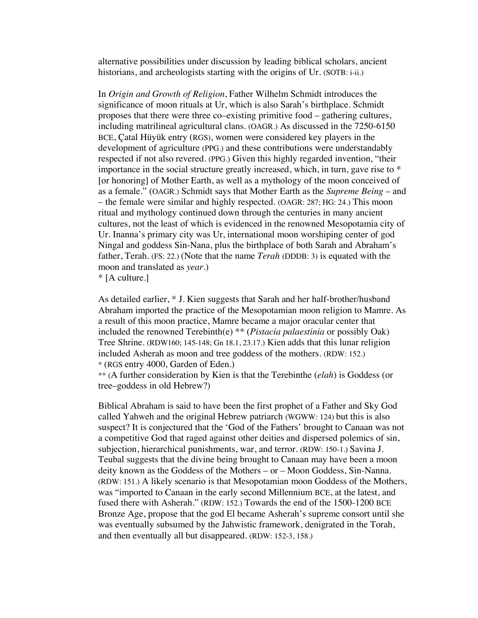alternative possibilities under discussion by leading biblical scholars, ancient historians, and archeologists starting with the origins of Ur. (SOTB: i-ii.)

In *Origin and Growth of Religion*, Father Wilhelm Schmidt introduces the significance of moon rituals at Ur, which is also Sarah's birthplace. Schmidt proposes that there were three co–existing primitive food – gathering cultures, including matrilineal agricultural clans. (OAGR.) As discussed in the 7250-6150 BCE, Çatal Hüyük entry (RGS), women were considered key players in the development of agriculture (PPG.) and these contributions were understandably respected if not also revered. (PPG.) Given this highly regarded invention, "their importance in the social structure greatly increased, which, in turn, gave rise to \* [or honoring] of Mother Earth, as well as a mythology of the moon conceived of as a female." (OAGR.) Schmidt says that Mother Earth as the *Supreme Being* – and – the female were similar and highly respected. (OAGR: 287; HG: 24.) This moon ritual and mythology continued down through the centuries in many ancient cultures, not the least of which is evidenced in the renowned Mesopotamia city of Ur. Inanna's primary city was Ur, international moon worshiping center of god Ningal and goddess Sin-Nana, plus the birthplace of both Sarah and Abraham's father, Terah. (FS: 22.) (Note that the name *Terah* (DDDB: 3) is equated with the moon and translated as *year.*)

\* [A culture.]

As detailed earlier, \* J. Kien suggests that Sarah and her half-brother/husband Abraham imported the practice of the Mesopotamian moon religion to Mamre. As a result of this moon practice, Mamre became a major oracular center that included the renowned Terebinth(e) \*\* (*Pistacia palaestinia* or possibly Oak) Tree Shrine. (RDW160; 145-148; Gn 18.1, 23.17.) Kien adds that this lunar religion included Asherah as moon and tree goddess of the mothers. (RDW: 152.) \* (RGS entry 4000, Garden of Eden.)

\*\* (A further consideration by Kien is that the Terebinthe (*elah*) is Goddess (or tree–goddess in old Hebrew?)

Biblical Abraham is said to have been the first prophet of a Father and Sky God called Yahweh and the original Hebrew patriarch (WGWW: 124) but this is also suspect? It is conjectured that the 'God of the Fathers' brought to Canaan was not a competitive God that raged against other deities and dispersed polemics of sin, subjection, hierarchical punishments, war, and terror. (RDW: 150-1.) Savina J. Teubal suggests that the divine being brought to Canaan may have been a moon deity known as the Goddess of the Mothers – or – Moon Goddess, Sin-Nanna. (RDW: 151.) A likely scenario is that Mesopotamian moon Goddess of the Mothers, was "imported to Canaan in the early second Millennium BCE, at the latest, and fused there with Asherah." (RDW: 152.) Towards the end of the 1500-1200 BCE Bronze Age, propose that the god El became Asherah's supreme consort until she was eventually subsumed by the Jahwistic framework, denigrated in the Torah, and then eventually all but disappeared. (RDW: 152-3, 158.)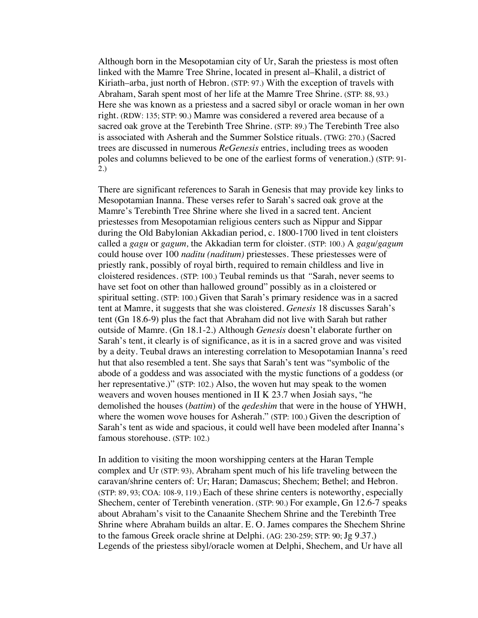Although born in the Mesopotamian city of Ur, Sarah the priestess is most often linked with the Mamre Tree Shrine, located in present al–Khalil, a district of Kiriath–arba, just north of Hebron. (STP: 97.) With the exception of travels with Abraham, Sarah spent most of her life at the Mamre Tree Shrine. (STP: 88, 93.) Here she was known as a priestess and a sacred sibyl or oracle woman in her own right. (RDW: 135; STP: 90.) Mamre was considered a revered area because of a sacred oak grove at the Terebinth Tree Shrine. (STP: 89.) The Terebinth Tree also is associated with Asherah and the Summer Solstice rituals. (TWG: 270.) (Sacred trees are discussed in numerous *ReGenesis* entries, including trees as wooden poles and columns believed to be one of the earliest forms of veneration.) (STP: 91- 2.)

There are significant references to Sarah in Genesis that may provide key links to Mesopotamian Inanna. These verses refer to Sarah's sacred oak grove at the Mamre's Terebinth Tree Shrine where she lived in a sacred tent. Ancient priestesses from Mesopotamian religious centers such as Nippur and Sippar during the Old Babylonian Akkadian period, c. 1800-1700 lived in tent cloisters called a *gagu* or *gagum,* the Akkadian term for cloister. (STP: 100.) A *gagu/gagum*  could house over 100 *naditu (naditum)* priestesses*.* These priestesses were of priestly rank, possibly of royal birth, required to remain childless and live in cloistered residences. (STP: 100.) Teubal reminds us that *"*Sarah, never seems to have set foot on other than hallowed ground" possibly as in a cloistered or spiritual setting. (STP: 100.) Given that Sarah's primary residence was in a sacred tent at Mamre, it suggests that she was cloistered. *Genesis* 18 discusses Sarah's tent (Gn 18.6-9) plus the fact that Abraham did not live with Sarah but rather outside of Mamre. (Gn 18.1-2.) Although *Genesis* doesn't elaborate further on Sarah's tent, it clearly is of significance, as it is in a sacred grove and was visited by a deity. Teubal draws an interesting correlation to Mesopotamian Inanna's reed hut that also resembled a tent. She says that Sarah's tent was "symbolic of the abode of a goddess and was associated with the mystic functions of a goddess (or her representative.)" (STP: 102.) Also, the woven hut may speak to the women weavers and woven houses mentioned in II K 23.7 when Josiah says, "he demolished the houses (*battim*) of the *qedeshim* that were in the house of YHWH, where the women wove houses for Asherah." (STP: 100.) Given the description of Sarah's tent as wide and spacious, it could well have been modeled after Inanna's famous storehouse. (STP: 102.)

In addition to visiting the moon worshipping centers at the Haran Temple complex and Ur (STP: 93), Abraham spent much of his life traveling between the caravan/shrine centers of: Ur; Haran; Damascus; Shechem; Bethel; and Hebron. (STP: 89, 93; COA: 108-9, 119.) Each of these shrine centers is noteworthy, especially Shechem, center of Terebinth veneration. (STP: 90.) For example, Gn 12.6-7 speaks about Abraham's visit to the Canaanite Shechem Shrine and the Terebinth Tree Shrine where Abraham builds an altar. E. O. James compares the Shechem Shrine to the famous Greek oracle shrine at Delphi. (AG: 230-259; STP: 90; Jg 9.37.) Legends of the priestess sibyl/oracle women at Delphi, Shechem, and Ur have all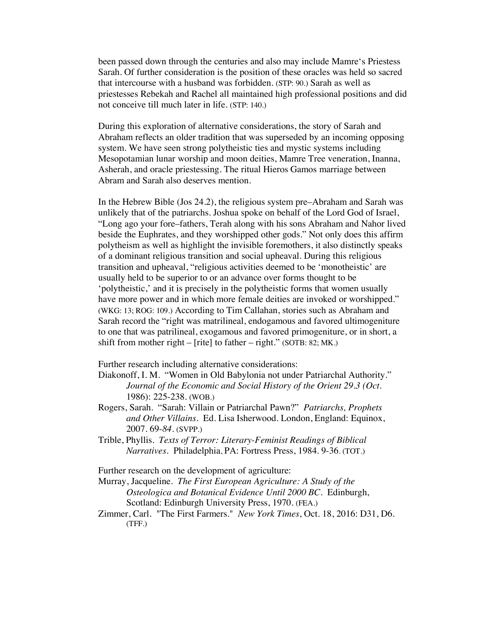been passed down through the centuries and also may include Mamre's Priestess Sarah. Of further consideration is the position of these oracles was held so sacred that intercourse with a husband was forbidden. (STP: 90.) Sarah as well as priestesses Rebekah and Rachel all maintained high professional positions and did not conceive till much later in life. (STP: 140.)

During this exploration of alternative considerations, the story of Sarah and Abraham reflects an older tradition that was superseded by an incoming opposing system. We have seen strong polytheistic ties and mystic systems including Mesopotamian lunar worship and moon deities, Mamre Tree veneration, Inanna, Asherah, and oracle priestessing. The ritual Hieros Gamos marriage between Abram and Sarah also deserves mention.

In the Hebrew Bible (Jos 24.2), the religious system pre–Abraham and Sarah was unlikely that of the patriarchs. Joshua spoke on behalf of the Lord God of Israel, "Long ago your fore–fathers, Terah along with his sons Abraham and Nahor lived beside the Euphrates, and they worshipped other gods." Not only does this affirm polytheism as well as highlight the invisible foremothers, it also distinctly speaks of a dominant religious transition and social upheaval. During this religious transition and upheaval, "religious activities deemed to be 'monotheistic' are usually held to be superior to or an advance over forms thought to be 'polytheistic,' and it is precisely in the polytheistic forms that women usually have more power and in which more female deities are invoked or worshipped." (WKG: 13; ROG: 109.) According to Tim Callahan, stories such as Abraham and Sarah record the "right was matrilineal, endogamous and favored ultimogeniture to one that was patrilineal, exogamous and favored primogeniture, or in short, a shift from mother right – [rite] to father – right." (SOTB: 82; MK.)

Further research including alternative considerations:

- Diakonoff, I. M. "Women in Old Babylonia not under Patriarchal Authority." *Journal of the Economic and Social History of the Orient 29.3 (Oct.*  1986): 225-238. (WOB.)
- Rogers, Sarah. "Sarah: Villain or Patriarchal Pawn?" *Patriarchs, Prophets and Other Villains*. Ed. Lisa Isherwood. London, England: Equinox, 2007. 69-*84.* (SVPP.)
- Trible, Phyllis. *Texts of Terror: Literary-Feminist Readings of Biblical Narratives.* Philadelphia, PA: Fortress Press, 1984. 9-36. (TOT.)

Further research on the development of agriculture:

Murray, Jacqueline. *The First European Agriculture: A Study of the Osteologica and Botanical Evidence Until 2000 BC*. Edinburgh, Scotland: Edinburgh University Press, 1970. (FEA.)

Zimmer, Carl. "The First Farmers." *New York Times*, Oct. 18, 2016: D31, D6. (TFF.)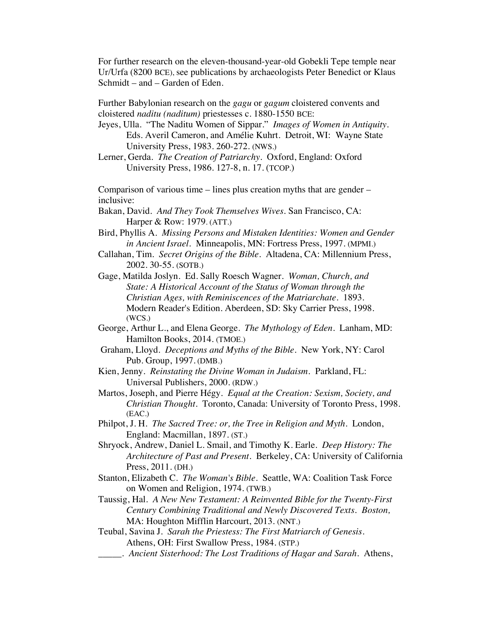For further research on the eleven-thousand-year-old Gobekli Tepe temple near Ur/Urfa (8200 BCE), see publications by archaeologists Peter Benedict or Klaus Schmidt – and – Garden of Eden.

Further Babylonian research on the *gagu* or *gagum* cloistered convents and cloistered *naditu (naditum)* priestesses c. 1880-1550 BCE:

Jeyes, Ulla. "The Naditu Women of Sippar." *Images of Women in Antiquity*. Eds. Averil Cameron, and Amélie Kuhrt. Detroit, WI: Wayne State University Press, 1983. 260-272. (NWS.)

Lerner, Gerda. *The Creation of Patriarchy*. Oxford, England: Oxford University Press, 1986. 127-8, n. 17. (TCOP.)

Comparison of various time – lines plus creation myths that are gender – inclusive:

- Bakan, David. *And They Took Themselves Wives*. San Francisco, CA: Harper & Row: 1979. (ATT.)
- Bird, Phyllis A. *Missing Persons and Mistaken Identities: Women and Gender in Ancient Israel.* Minneapolis, MN: Fortress Press, 1997. (MPMI.)
- Callahan, Tim. *Secret Origins of the Bible.* Altadena, CA: Millennium Press, 2002. 30-55. (SOTB.)
- Gage, Matilda Joslyn. Ed. Sally Roesch Wagner. *Woman, Church, and State: A Historical Account of the Status of Woman through the Christian Ages, with Reminiscences of the Matriarchate*. 1893. Modern Reader's Edition. Aberdeen, SD: Sky Carrier Press, 1998. (WCS.)
- George, Arthur L., and Elena George. *The Mythology of Eden*. Lanham, MD: Hamilton Books, 2014. (TMOE.)
- Graham, Lloyd. *Deceptions and Myths of the Bible*. New York, NY: Carol Pub. Group, 1997. (DMB.)
- Kien, Jenny. *Reinstating the Divine Woman in Judaism.* Parkland, FL: Universal Publishers, 2000. (RDW.)
- Martos, Joseph, and Pierre Hégy. *Equal at the Creation: Sexism, Society, and Christian Thought*. Toronto, Canada: University of Toronto Press, 1998. (EAC.)
- Philpot, J. H. *The Sacred Tree: or, the Tree in Religion and Myth*. London, England: Macmillan, 1897. (ST.)
- Shryock, Andrew, Daniel L. Smail, and Timothy K. Earle. *Deep History: The Architecture of Past and Present*. Berkeley, CA: University of California Press, 2011. (DH.)
- Stanton, Elizabeth C. *The Woman's Bible*. Seattle, WA: Coalition Task Force on Women and Religion, 1974. (TWB.)
- Taussig, Hal. *A New New Testament: A Reinvented Bible for the Twenty-First Century Combining Traditional and Newly Discovered Texts. Boston,*  MA: Houghton Mifflin Harcourt, 2013. (NNT.)
- Teubal, Savina J. *Sarah the Priestess: The First Matriarch of Genesis*. Athens, OH: First Swallow Press, 1984. (STP.)
- \_\_\_\_\_. *Ancient Sisterhood: The Lost Traditions of Hagar and Sarah*. Athens,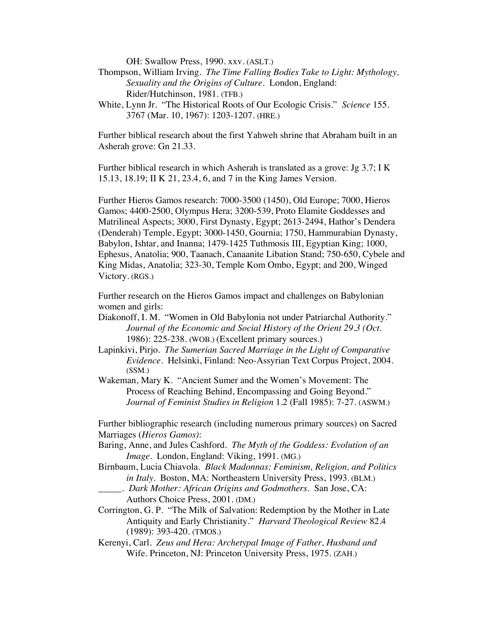OH: Swallow Press, 1990. xxv. (ASLT.)

- Thompson, William Irving. *The Time Falling Bodies Take to Light: Mythology, Sexuality and the Origins of Culture.* London, England: Rider/Hutchinson, 1981. (TFB.)
- White, Lynn Jr. "The Historical Roots of Our Ecologic Crisis." *Science* 155. 3767 (Mar. 10, 1967): 1203-1207. (HRE.)

Further biblical research about the first Yahweh shrine that Abraham built in an Asherah grove: Gn 21.33.

Further biblical research in which Asherah is translated as a grove: Jg 3.7; I K 15.13, 18.19; II K 21, 23.4, 6, and 7 in the King James Version.

Further Hieros Gamos research: 7000-3500 (1450), Old Europe; 7000, Hieros Gamos; 4400-2500, Olympus Hera; 3200-539, Proto Elamite Goddesses and Matrilineal Aspects; 3000, First Dynasty, Egypt; 2613-2494, Hathor's Dendera (Denderah) Temple, Egypt; 3000-1450, Gournia; 1750, Hammurabian Dynasty, Babylon, Ishtar, and Inanna; 1479-1425 Tuthmosis III, Egyptian King; 1000, Ephesus, Anatolia; 900, Taanach, Canaanite Libation Stand; 750-650, Cybele and King Midas, Anatolia; 323-30, Temple Kom Ombo, Egypt; and 200, Winged Victory. (RGS.)

Further research on the Hieros Gamos impact and challenges on Babylonian women and girls:

- Diakonoff, I. M. "Women in Old Babylonia not under Patriarchal Authority." *Journal of the Economic and Social History of the Orient 29.3 (Oct.*  1986): 225-238. (WOB.) (Excellent primary sources.)
- Lapinkivi, Pirjo. *The Sumerian Sacred Marriage in the Light of Comparative Evidence*. Helsinki, Finland: Neo-Assyrian Text Corpus Project, 2004. (SSM.)
- Wakeman, Mary K. "Ancient Sumer and the Women's Movement: The Process of Reaching Behind, Encompassing and Going Beyond." *Journal of Feminist Studies in Religion* 1.2 (Fall 1985): 7-27. (ASWM.)

Further bibliographic research (including numerous primary sources) on Sacred Marriages (*Hieros Gamos)*:

- Baring, Anne, and Jules Cashford. *The Myth of the Goddess: Evolution of an Image*. London, England: Viking, 1991. (MG.)
- Birnbaum, Lucia Chiavola. *Black Madonnas: Feminism, Religion, and Politics in Italy.* Boston, MA: Northeastern University Press, 1993. (BLM.)
- \_\_\_\_\_. *Dark Mother: African Origins and Godmothers*. San Jose, CA: Authors Choice Press, 2001. (DM.)
- Corrington, G. P. "The Milk of Salvation: Redemption by the Mother in Late Antiquity and Early Christianity." *Harvard Theological Review* 82.4 (1989): 393-420. (TMOS.)
- Kerenyi, Carl. *Zeus and Hera: Archetypal Image of Father, Husband and* Wife. Princeton, NJ: Princeton University Press, 1975. (ZAH.)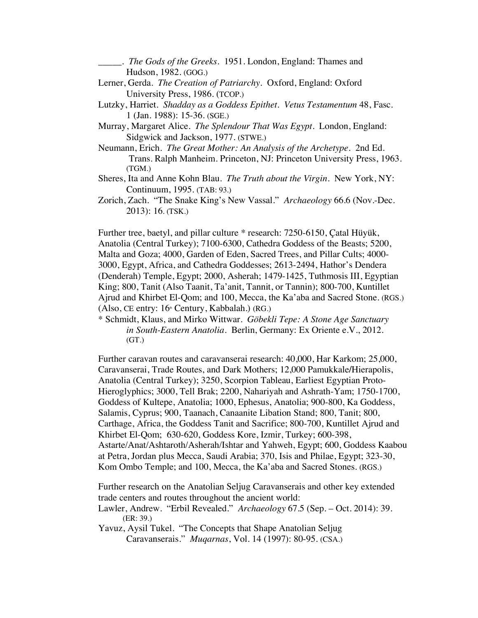\_\_\_\_\_. *The Gods of the Greeks*. 1951. London, England: Thames and Hudson, 1982. (GOG.)

- Lerner, Gerda. *The Creation of Patriarchy.* Oxford, England: Oxford University Press, 1986. (TCOP.)
- Lutzky, Harriet. *Shadday as a Goddess Epithet. Vetus Testamentum* 48, Fasc. 1 (Jan. 1988): 15-36. (SGE.)
- Murray, Margaret Alice. *The Splendour That Was Egypt*. London, England: Sidgwick and Jackson, 1977. (STWE.)
- Neumann, Erich*. The Great Mother: An Analysis of the Archetype*. 2nd Ed. Trans. Ralph Manheim. Princeton, NJ: Princeton University Press, 1963. (TGM.)
- Sheres, Ita and Anne Kohn Blau. *The Truth about the Virgin*. New York, NY: Continuum, 1995. (TAB: 93.)
- Zorich, Zach. "The Snake King's New Vassal." *Archaeology* 66.6 (Nov.-Dec. 2013): 16. (TSK.)

Further tree, baetyl, and pillar culture \* research: 7250-6150, Çatal Hüyük, Anatolia (Central Turkey); 7100-6300, Cathedra Goddess of the Beasts; 5200, Malta and Goza; 4000, Garden of Eden, Sacred Trees, and Pillar Cults; 4000- 3000, Egypt, Africa, and Cathedra Goddesses; 2613-2494, Hathor's Dendera (Denderah) Temple, Egypt; 2000, Asherah; 1479-1425, Tuthmosis III, Egyptian King; 800, Tanit (Also Taanit, Ta'anit, Tannit, or Tannin); 800-700, Kuntillet Ajrud and Khirbet El-Qom; and 100, Mecca, the Ka'aba and Sacred Stone. (RGS.) (Also, CE entry:  $16^{\text{th}}$  Century, Kabbalah.) (RG.)

Further caravan routes and caravanserai research: 40,000, Har Karkom; 25,000, Caravanserai, Trade Routes, and Dark Mothers; 12,000 Pamukkale*/*Hierapolis, Anatolia (Central Turkey); 3250, Scorpion Tableau, Earliest Egyptian Proto-Hieroglyphics; 3000, Tell Brak; 2200, Nahariyah and Ashrath-Yam; 1750-1700, Goddess of Kultepe, Anatolia; 1000, Ephesus, Anatolia; 900-800, Ka Goddess, Salamis, Cyprus; 900, Taanach, Canaanite Libation Stand; 800, Tanit; 800, Carthage, Africa, the Goddess Tanit and Sacrifice; 800-700, Kuntillet Ajrud and Khirbet El-Qom; 630-620, Goddess Kore, Izmir, Turkey; 600-398, Astarte/Anat/Ashtaroth/Asherah/Ishtar and Yahweh, Egypt; 600, Goddess Kaabou at Petra, Jordan plus Mecca, Saudi Arabia; 370, Isis and Philae, Egypt; 323-30, Kom Ombo Temple; and 100, Mecca, the Ka'aba and Sacred Stones. (RGS.)

Further research on the Anatolian Seljug Caravanserais and other key extended trade centers and routes throughout the ancient world:

Lawler, Andrew. "Erbil Revealed." *Archaeology* 67.5 (Sep. – Oct. 2014): 39. (ER: 39.)

Yavuz, Aysil Tukel. "The Concepts that Shape Anatolian Seljug Caravanserais." *Muqarnas*, Vol. 14 (1997): 80-95. (CSA.)

<sup>\*</sup> Schmidt, Klaus, and Mirko Wittwar. *Göbekli Tepe: A Stone Age Sanctuary in South-Eastern Anatolia*. Berlin, Germany: Ex Oriente e.V., 2012.  $(GT.)$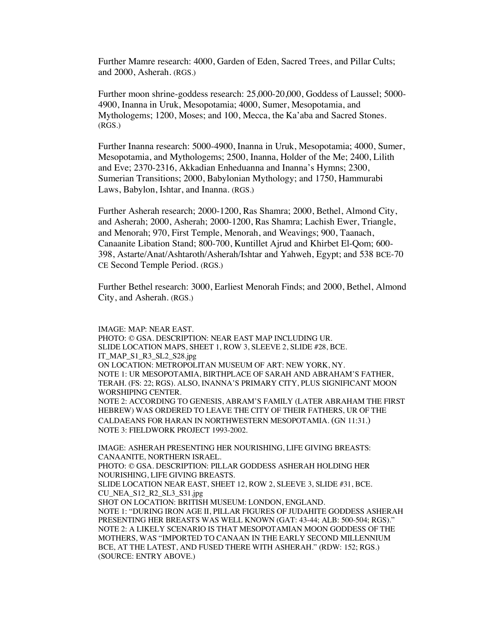Further Mamre research: 4000, Garden of Eden, Sacred Trees, and Pillar Cults; and 2000, Asherah. (RGS.)

Further moon shrine-goddess research: 25,000-20,000, Goddess of Laussel; 5000- 4900, Inanna in Uruk, Mesopotamia; 4000, Sumer, Mesopotamia, and Mythologems; 1200, Moses; and 100, Mecca, the Ka'aba and Sacred Stones. (RGS.)

Further Inanna research: 5000-4900, Inanna in Uruk, Mesopotamia; 4000, Sumer, Mesopotamia, and Mythologems; 2500, Inanna, Holder of the Me; 2400, Lilith and Eve; 2370-2316, Akkadian Enheduanna and Inanna's Hymns; 2300, Sumerian Transitions; 2000, Babylonian Mythology; and 1750, Hammurabi Laws, Babylon, Ishtar, and Inanna. (RGS.)

Further Asherah research; 2000-1200, Ras Shamra; 2000, Bethel, Almond City, and Asherah; 2000, Asherah; 2000-1200, Ras Shamra; Lachish Ewer, Triangle, and Menorah; 970, First Temple, Menorah, and Weavings; 900, Taanach, Canaanite Libation Stand; 800-700, Kuntillet Ajrud and Khirbet El-Qom; 600- 398, Astarte/Anat/Ashtaroth/Asherah/Ishtar and Yahweh, Egypt; and 538 BCE-70 CE Second Temple Period. (RGS.)

Further Bethel research: 3000, Earliest Menorah Finds; and 2000, Bethel, Almond City, and Asherah. (RGS.)

IMAGE: MAP: NEAR EAST. PHOTO: © GSA. DESCRIPTION: NEAR EAST MAP INCLUDING UR. SLIDE LOCATION MAPS, SHEET 1, ROW 3, SLEEVE 2, SLIDE #28, BCE. IT\_MAP\_S1\_R3\_SL2\_S28.jpg ON LOCATION: METROPOLITAN MUSEUM OF ART: NEW YORK, NY. NOTE 1: UR MESOPOTAMIA, BIRTHPLACE OF SARAH AND ABRAHAM'S FATHER, TERAH. (FS: 22; RGS). ALSO, INANNA'S PRIMARY CITY, PLUS SIGNIFICANT MOON WORSHIPING CENTER. NOTE 2: ACCORDING TO GENESIS, ABRAM'S FAMILY (LATER ABRAHAM THE FIRST HEBREW) WAS ORDERED TO LEAVE THE CITY OF THEIR FATHERS, UR OF THE CALDAEANS FOR HARAN IN NORTHWESTERN MESOPOTAMIA. (GN 11:31.) NOTE 3: FIELDWORK PROJECT 1993-2002.

IMAGE: ASHERAH PRESENTING HER NOURISHING, LIFE GIVING BREASTS: CANAANITE, NORTHERN ISRAEL. PHOTO: © GSA. DESCRIPTION: PILLAR GODDESS ASHERAH HOLDING HER NOURISHING, LIFE GIVING BREASTS. SLIDE LOCATION NEAR EAST, SHEET 12, ROW 2, SLEEVE 3, SLIDE #31, BCE. CU\_NEA\_S12\_R2\_SL3\_S31.jpg SHOT ON LOCATION: BRITISH MUSEUM: LONDON, ENGLAND. NOTE 1: "DURING IRON AGE II, PILLAR FIGURES OF JUDAHITE GODDESS ASHERAH PRESENTING HER BREASTS WAS WELL KNOWN (GAT: 43-44; ALB: 500-504; RGS)." NOTE 2: A LIKELY SCENARIO IS THAT MESOPOTAMIAN MOON GODDESS OF THE MOTHERS, WAS "IMPORTED TO CANAAN IN THE EARLY SECOND MILLENNIUM BCE, AT THE LATEST, AND FUSED THERE WITH ASHERAH." (RDW: 152; RGS.) (SOURCE: ENTRY ABOVE.)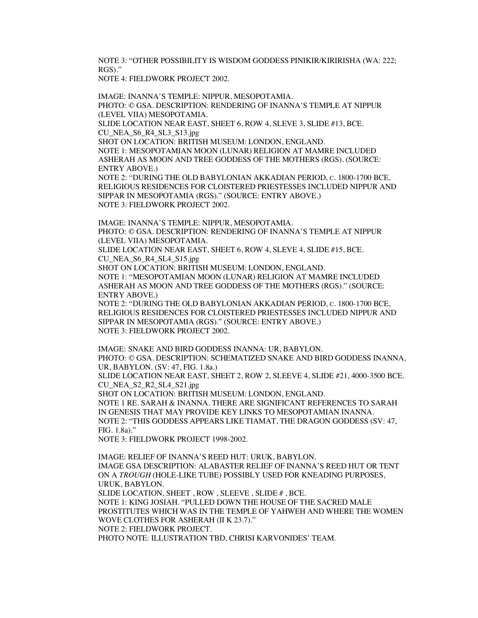NOTE 3: "OTHER POSSIBILITY IS WISDOM GODDESS PINIKIR/KIRIRISHA (WA: 222; RGS)."

NOTE 4: FIELDWORK PROJECT 2002.

IMAGE: INANNA'S TEMPLE: NIPPUR, MESOPOTAMIA. PHOTO: © GSA. DESCRIPTION: RENDERING OF INANNA'S TEMPLE AT NIPPUR (LEVEL VIIA) MESOPOTAMIA. SLIDE LOCATION NEAR EAST, SHEET 6, ROW 4, SLEVE 3, SLIDE #13, BCE. CU\_NEA\_S6\_R4\_SL3\_S13.jpg SHOT ON LOCATION: BRITISH MUSEUM: LONDON, ENGLAND.

NOTE 1: MESOPOTAMIAN MOON (LUNAR) RELIGION AT MAMRE INCLUDED ASHERAH AS MOON AND TREE GODDESS OF THE MOTHERS (RGS). (SOURCE: ENTRY ABOVE.)

NOTE 2: "DURING THE OLD BABYLONIAN AKKADIAN PERIOD, C. 1800-1700 BCE, RELIGIOUS RESIDENCES FOR CLOISTERED PRIESTESSES INCLUDED NIPPUR AND SIPPAR IN MESOPOTAMIA (RGS)." (SOURCE: ENTRY ABOVE.) NOTE 3: FIELDWORK PROJECT 2002.

IMAGE: INANNA'S TEMPLE: NIPPUR, MESOPOTAMIA. PHOTO: © GSA. DESCRIPTION: RENDERING OF INANNA'S TEMPLE AT NIPPUR (LEVEL VIIA) MESOPOTAMIA. SLIDE LOCATION NEAR EAST, SHEET 6, ROW 4, SLEVE 4, SLIDE #15, BCE. CU\_NEA\_S6\_R4\_SL4\_S15.jpg

SHOT ON LOCATION: BRITISH MUSEUM: LONDON, ENGLAND. NOTE 1: "MESOPOTAMIAN MOON (LUNAR) RELIGION AT MAMRE INCLUDED

ASHERAH AS MOON AND TREE GODDESS OF THE MOTHERS (RGS)." (SOURCE: ENTRY ABOVE.)

NOTE 2: "DURING THE OLD BABYLONIAN AKKADIAN PERIOD, C. 1800-1700 BCE, RELIGIOUS RESIDENCES FOR CLOISTERED PRIESTESSES INCLUDED NIPPUR AND SIPPAR IN MESOPOTAMIA (RGS)." (SOURCE: ENTRY ABOVE.) NOTE 3: FIELDWORK PROJECT 2002.

IMAGE: SNAKE AND BIRD GODDESS INANNA: UR, BABYLON. PHOTO: © GSA. DESCRIPTION: SCHEMATIZED SNAKE AND BIRD GODDESS INANNA, UR, BABYLON. (SV: 47, FIG. 1.8a.)

SLIDE LOCATION NEAR EAST, SHEET 2, ROW 2, SLEEVE 4, SLIDE #21, 4000-3500 BCE. CU\_NEA\_S2\_R2\_SL4\_S21.jpg

SHOT ON LOCATION: BRITISH MUSEUM: LONDON, ENGLAND.

NOTE 1 RE. SARAH & INANNA. THERE ARE SIGNIFICANT REFERENCES TO SARAH IN GENESIS THAT MAY PROVIDE KEY LINKS TO MESOPOTAMIAN INANNA. NOTE 2: "THIS GODDESS APPEARS LIKE TIAMAT, THE DRAGON GODDESS (SV: 47, FIG. 1.8a)."

NOTE 3: FIELDWORK PROJECT 1998-2002.

IMAGE: RELIEF OF INANNA'S REED HUT: URUK, BABYLON. IMAGE GSA DESCRIPTION: ALABASTER RELIEF OF INANNA'S REED HUT OR TENT ON A *TROUGH* (HOLE-LIKE TUBE) POSSIBLY USED FOR KNEADING PURPOSES, URUK, BABYLON. SLIDE LOCATION, SHEET , ROW , SLEEVE , SLIDE # , BCE. NOTE 1: KING JOSIAH. "PULLED DOWN THE HOUSE OF THE SACRED MALE PROSTITUTES WHICH WAS IN THE TEMPLE OF YAHWEH AND WHERE THE WOMEN WOVE CLOTHES FOR ASHERAH (II K 23.7)." NOTE 2: FIELDWORK PROJECT. PHOTO NOTE: ILLUSTRATION TBD, CHRISI KARVONIDES' TEAM.